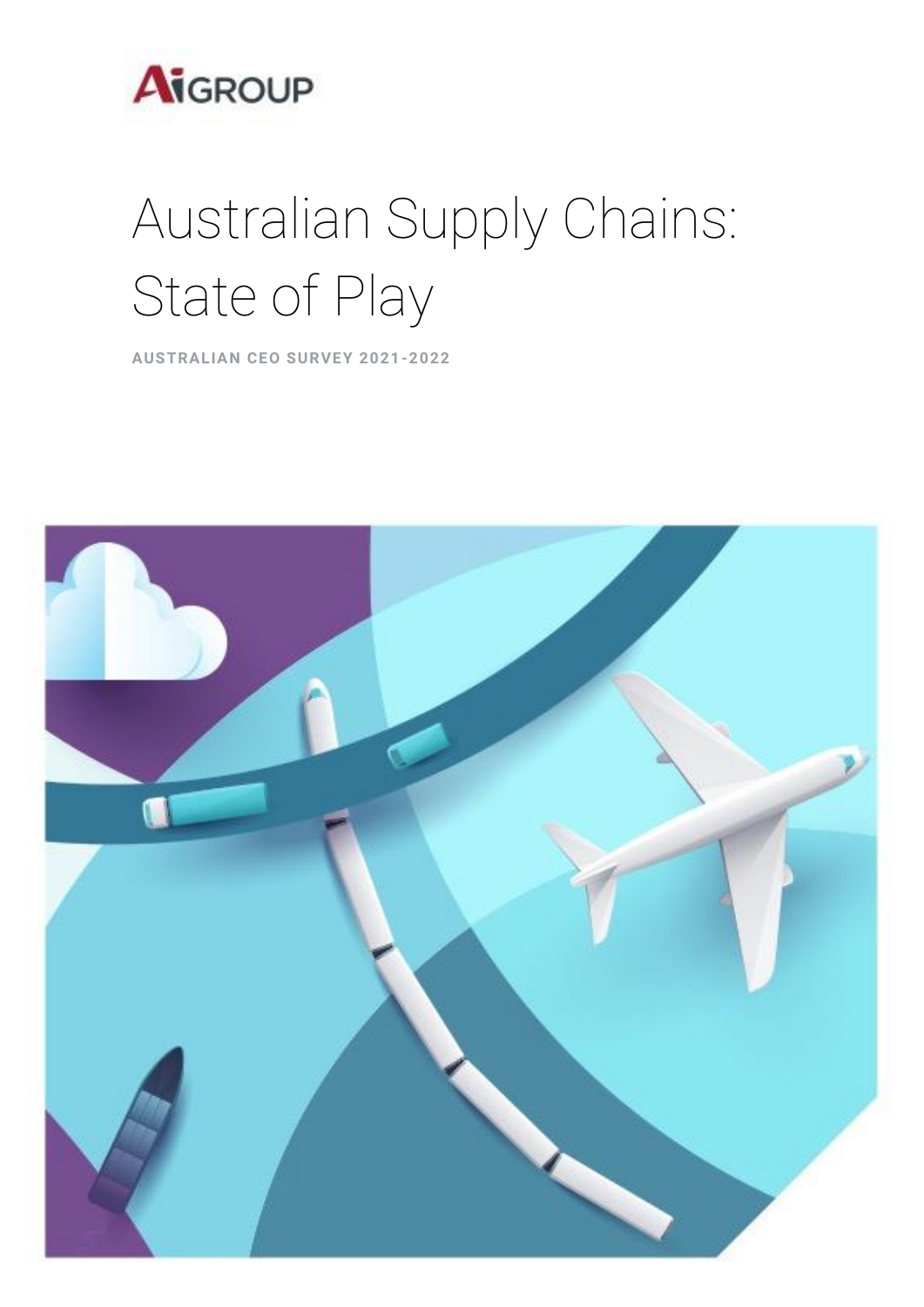

# Australian Supply Chains: State of Play

**AUSTRALIAN CEO SURVEY 2021-2022**

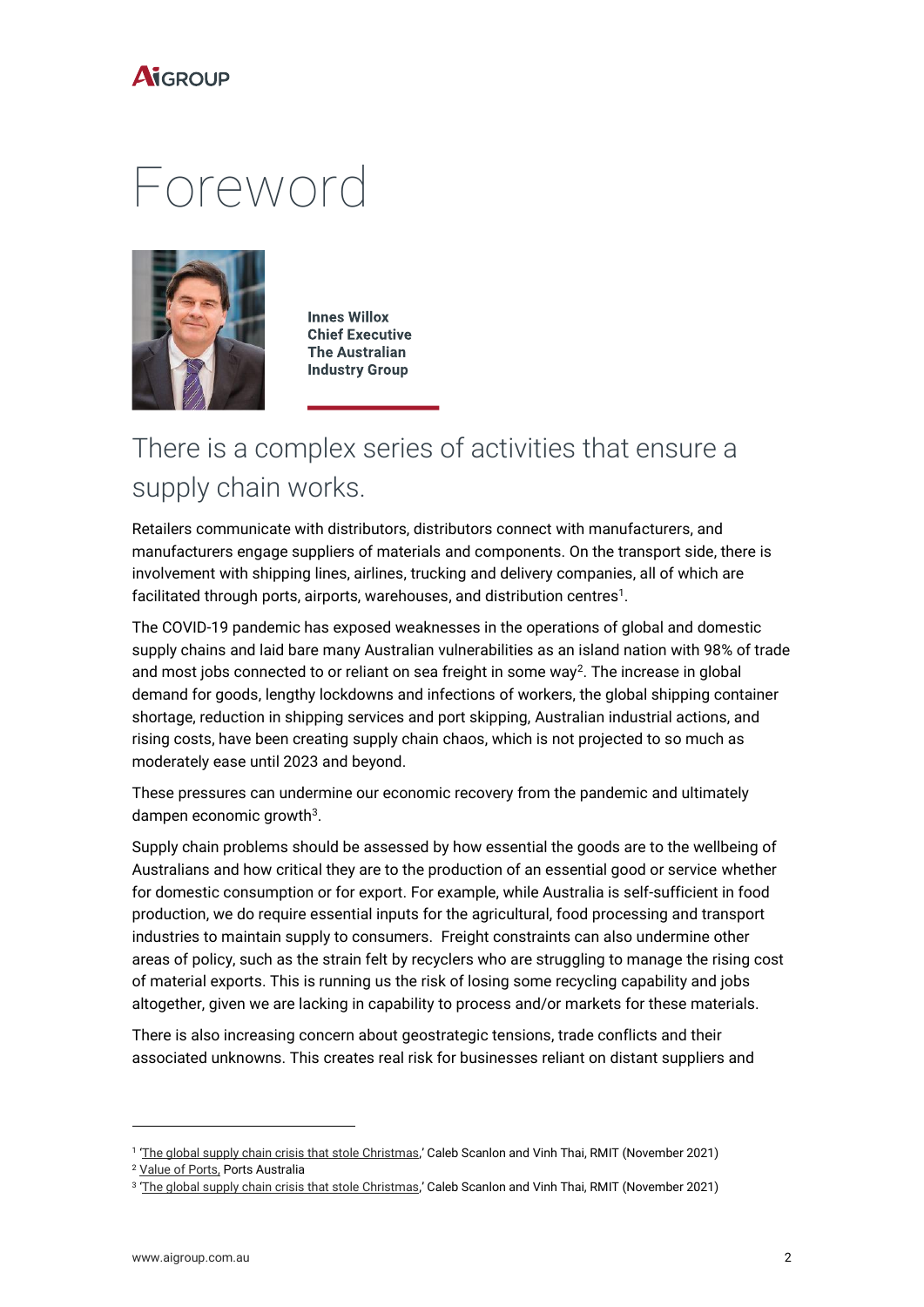

## Foreword



**Innes Willox Chief Executive The Australian Industry Group** 

### There is a complex series of activities that ensure a supply chain works.

Retailers communicate with distributors, distributors connect with manufacturers, and manufacturers engage suppliers of materials and components. On the transport side, there is involvement with shipping lines, airlines, trucking and delivery companies, all of which are facilitated through ports, airports, warehouses, and distribution centres $^1\!\!$ .

The COVID-19 pandemic has exposed weaknesses in the operations of global and domestic supply chains and laid bare many Australian vulnerabilities as an island nation with 98% of trade and most jobs connected to or reliant on sea freight in some way<sup>2</sup>. The increase in global demand for goods, lengthy lockdowns and infections of workers, the global shipping container shortage, reduction in shipping services and port skipping, Australian industrial actions, and rising costs, have been creating supply chain chaos, which is not projected to so much as moderately ease until 2023 and beyond.

These pressures can undermine our economic recovery from the pandemic and ultimately dampen economic growth<sup>3</sup>.

Supply chain problems should be assessed by how essential the goods are to the wellbeing of Australians and how critical they are to the production of an essential good or service whether for domestic consumption or for export. For example, while Australia is self-sufficient in food production, we do require essential inputs for the agricultural, food processing and transport industries to maintain supply to consumers. Freight constraints can also undermine other areas of policy, such as the strain felt by recyclers who are struggling to manage the rising cost of material exports. This is running us the risk of losing some recycling capability and jobs altogether, given we are lacking in capability to process and/or markets for these materials.

There is also increasing concern about geostrategic tensions, trade conflicts and their associated unknowns. This creates real risk for businesses reliant on distant suppliers and

<sup>&</sup>lt;sup>1</sup> '<u>[The global supply chain crisis that stole Christmas](https://www.rmit.edu.au/news/all-news/2021/nov/supply-chain-crisis)</u>,' Caleb Scanlon and Vinh Thai, RMIT (November 2021)

<sup>2</sup> [Value of Ports,](https://www.portsaustralia.com.au/value-of-ports/economy) Ports Australia

<sup>&</sup>lt;sup>3</sup> '<u>[The global supply chain crisis that stole Christmas](https://www.rmit.edu.au/news/all-news/2021/nov/supply-chain-crisis)</u>,' Caleb Scanlon and Vinh Thai, RMIT (November 2021)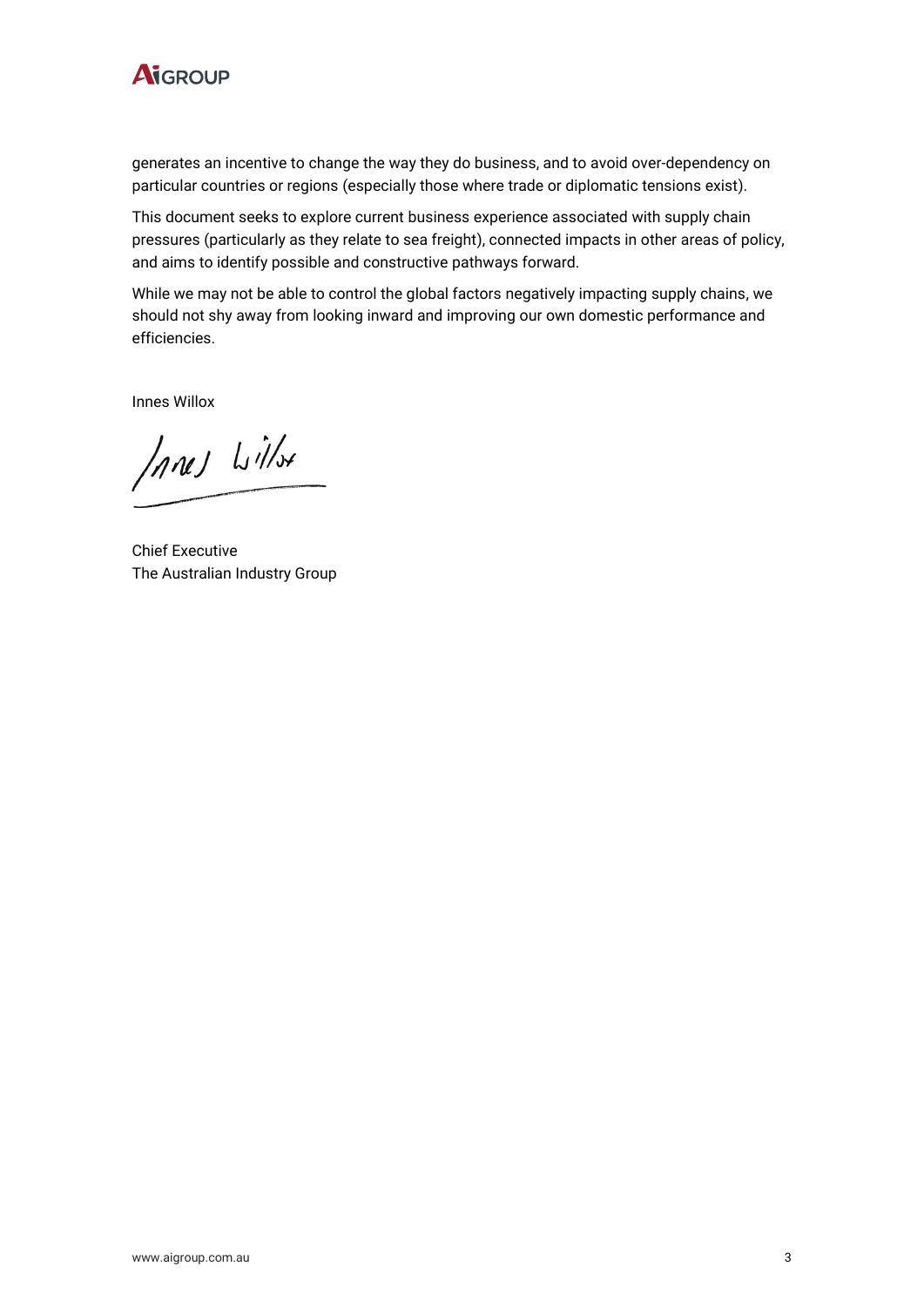

generates an incentive to change the way they do business, and to avoid over-dependency on particular countries or regions (especially those where trade or diplomatic tensions exist).

This document seeks to explore current business experience associated with supply chain pressures (particularly as they relate to sea freight), connected impacts in other areas of policy, and aims to identify possible and constructive pathways forward.

While we may not be able to control the global factors negatively impacting supply chains, we should not shy away from looking inward and improving our own domestic performance and efficiencies.

Innes Willox

Innes Willst

Chief Executive The Australian Industry Group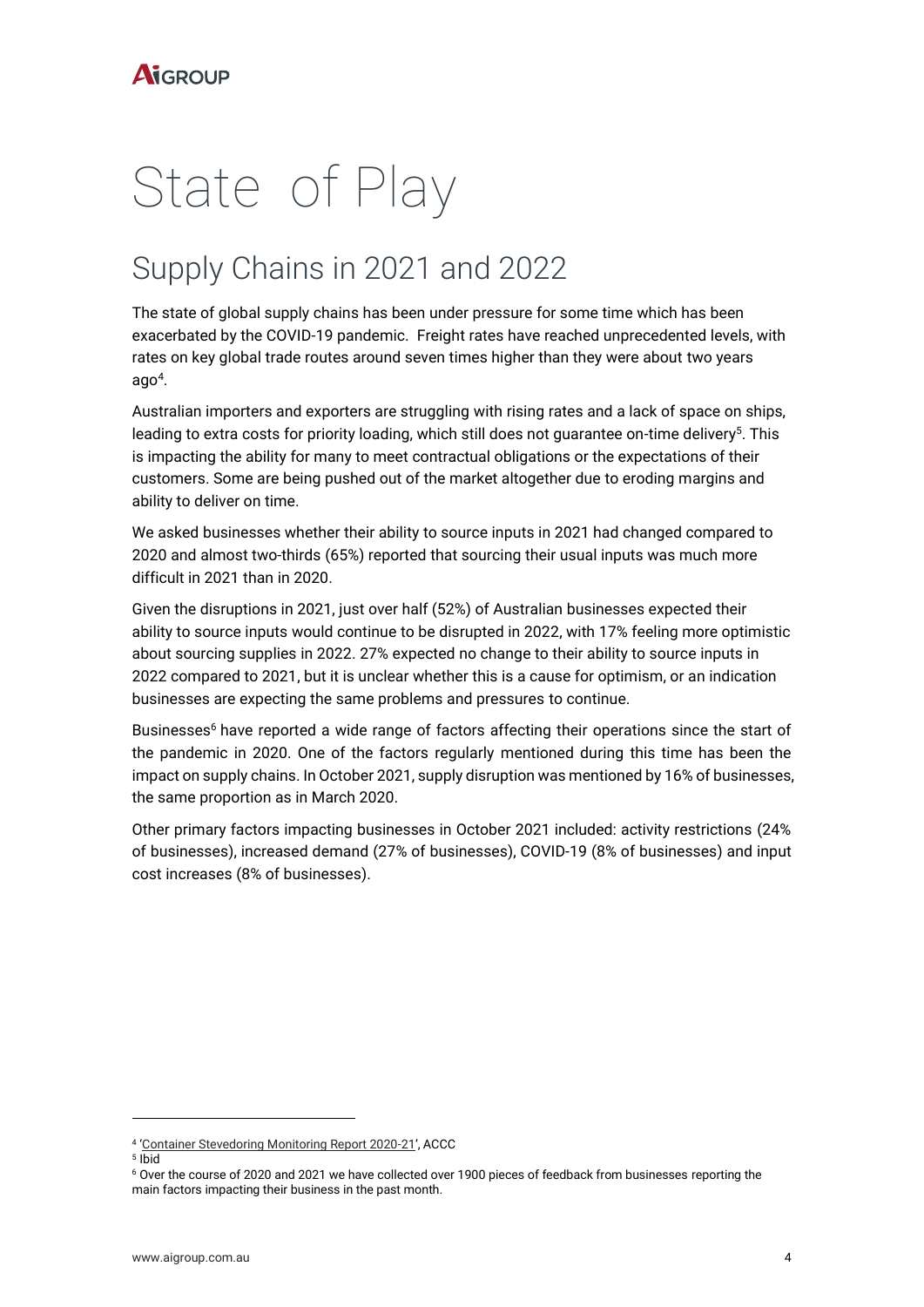# State of Play

## Supply Chains in 2021 and 2022

The state of global supply chains has been under pressure for some time which has been exacerbated by the COVID-19 pandemic. Freight rates have reached unprecedented levels, with rates on key global trade routes around seven times higher than they were about two years  $\mathsf{ago}^4$ .

Australian importers and exporters are struggling with rising rates and a lack of space on ships, leading to extra costs for priority loading, which still does not guarantee on-time delivery<sup>5</sup>. This is impacting the ability for many to meet contractual obligations or the expectations of their customers. Some are being pushed out of the market altogether due to eroding margins and ability to deliver on time.

We asked businesses whether their ability to source inputs in 2021 had changed compared to 2020 and almost two-thirds (65%) reported that sourcing their usual inputs was much more difficult in 2021 than in 2020.

Given the disruptions in 2021, just over half (52%) of Australian businesses expected their ability to source inputs would continue to be disrupted in 2022, with 17% feeling more optimistic about sourcing supplies in 2022. 27% expected no change to their ability to source inputs in 2022 compared to 2021, but it is unclear whether this is a cause for optimism, or an indication businesses are expecting the same problems and pressures to continue.

Businesses<sup>6</sup> have reported a wide range of factors affecting their operations since the start of the pandemic in 2020. One of the factors regularly mentioned during this time has been the impact on supply chains. In October 2021, supply disruption was mentioned by 16% of businesses, the same proportion as in March 2020.

Other primary factors impacting businesses in October 2021 included: activity restrictions (24% of businesses), increased demand (27% of businesses), COVID-19 (8% of businesses) and input cost increases (8% of businesses).

<sup>4</sup> '[Container Stevedoring Monitoring Report 2020-21](https://www.accc.gov.au/system/files/Container%20stevedoring%20monitoring%20report%202020-21.pdf)', ACCC

<sup>5</sup> Ibid

<sup>6</sup> Over the course of 2020 and 2021 we have collected over 1900 pieces of feedback from businesses reporting the main factors impacting their business in the past month.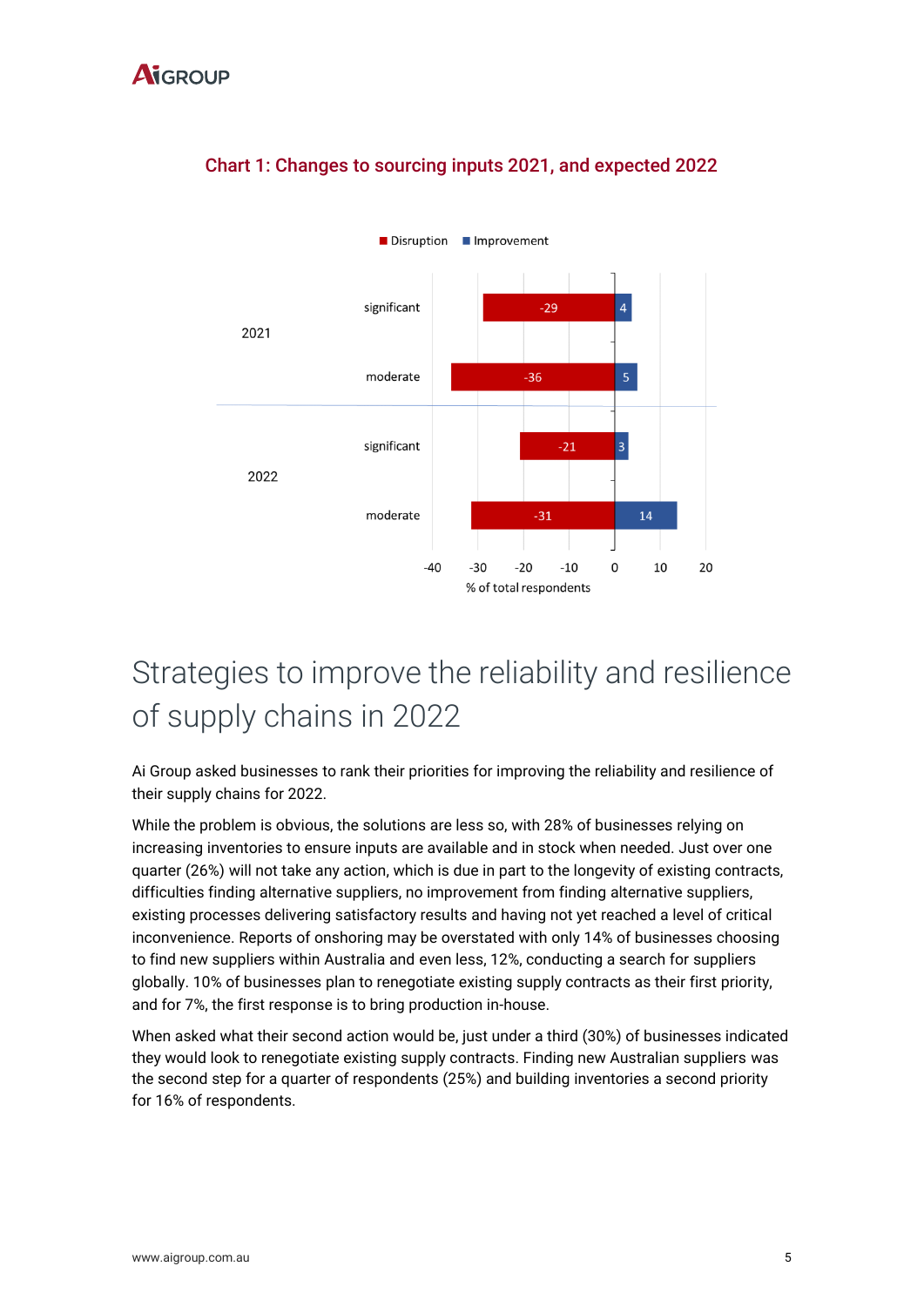

#### Chart 1: Changes to sourcing inputs 2021, and expected 2022

### Strategies to improve the reliability and resilience of supply chains in 2022

Ai Group asked businesses to rank their priorities for improving the reliability and resilience of their supply chains for 2022.

While the problem is obvious, the solutions are less so, with 28% of businesses relying on increasing inventories to ensure inputs are available and in stock when needed. Just over one quarter (26%) will not take any action, which is due in part to the longevity of existing contracts, difficulties finding alternative suppliers, no improvement from finding alternative suppliers, existing processes delivering satisfactory results and having not yet reached a level of critical inconvenience. Reports of onshoring may be overstated with only 14% of businesses choosing to find new suppliers within Australia and even less, 12%, conducting a search for suppliers globally. 10% of businesses plan to renegotiate existing supply contracts as their first priority, and for 7%, the first response is to bring production in-house.

When asked what their second action would be, just under a third (30%) of businesses indicated they would look to renegotiate existing supply contracts. Finding new Australian suppliers was the second step for a quarter of respondents (25%) and building inventories a second priority for 16% of respondents.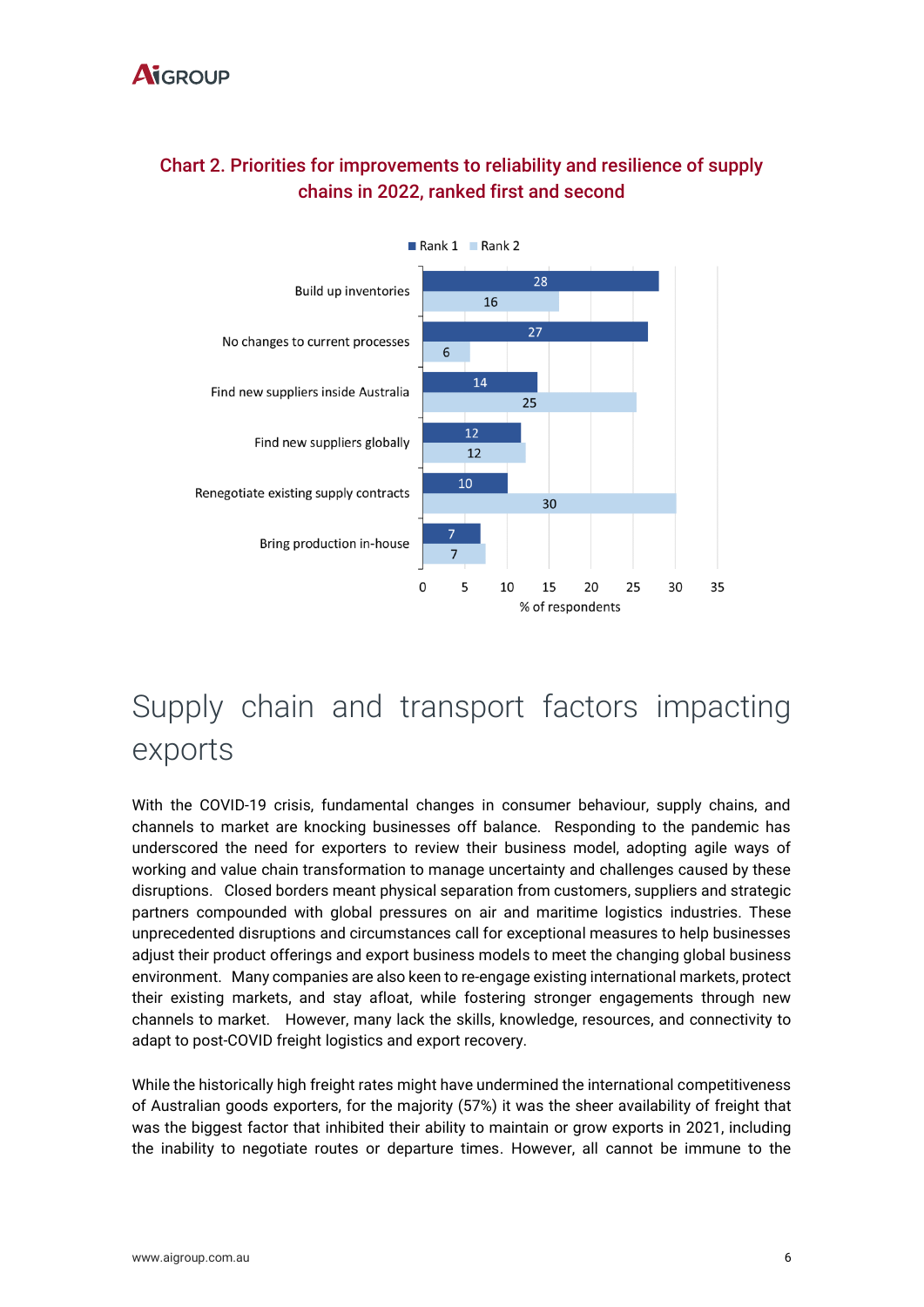#### **A**igroup



#### Chart 2. Priorities for improvements to reliability and resilience of supply chains in 2022, ranked first and second

## Supply chain and transport factors impacting exports

With the COVID-19 crisis, fundamental changes in consumer behaviour, supply chains, and channels to market are knocking businesses off balance. Responding to the pandemic has underscored the need for exporters to review their business model, adopting agile ways of working and value chain transformation to manage uncertainty and challenges caused by these disruptions. Closed borders meant physical separation from customers, suppliers and strategic partners compounded with global pressures on air and maritime logistics industries. These unprecedented disruptions and circumstances call for exceptional measures to help businesses adjust their product offerings and export business models to meet the changing global business environment. Many companies are also keen to re-engage existing international markets, protect their existing markets, and stay afloat, while fostering stronger engagements through new channels to market. However, many lack the skills, knowledge, resources, and connectivity to adapt to post-COVID freight logistics and export recovery.

While the historically high freight rates might have undermined the international competitiveness of Australian goods exporters, for the majority (57%) it was the sheer availability of freight that was the biggest factor that inhibited their ability to maintain or grow exports in 2021, including the inability to negotiate routes or departure times. However, all cannot be immune to the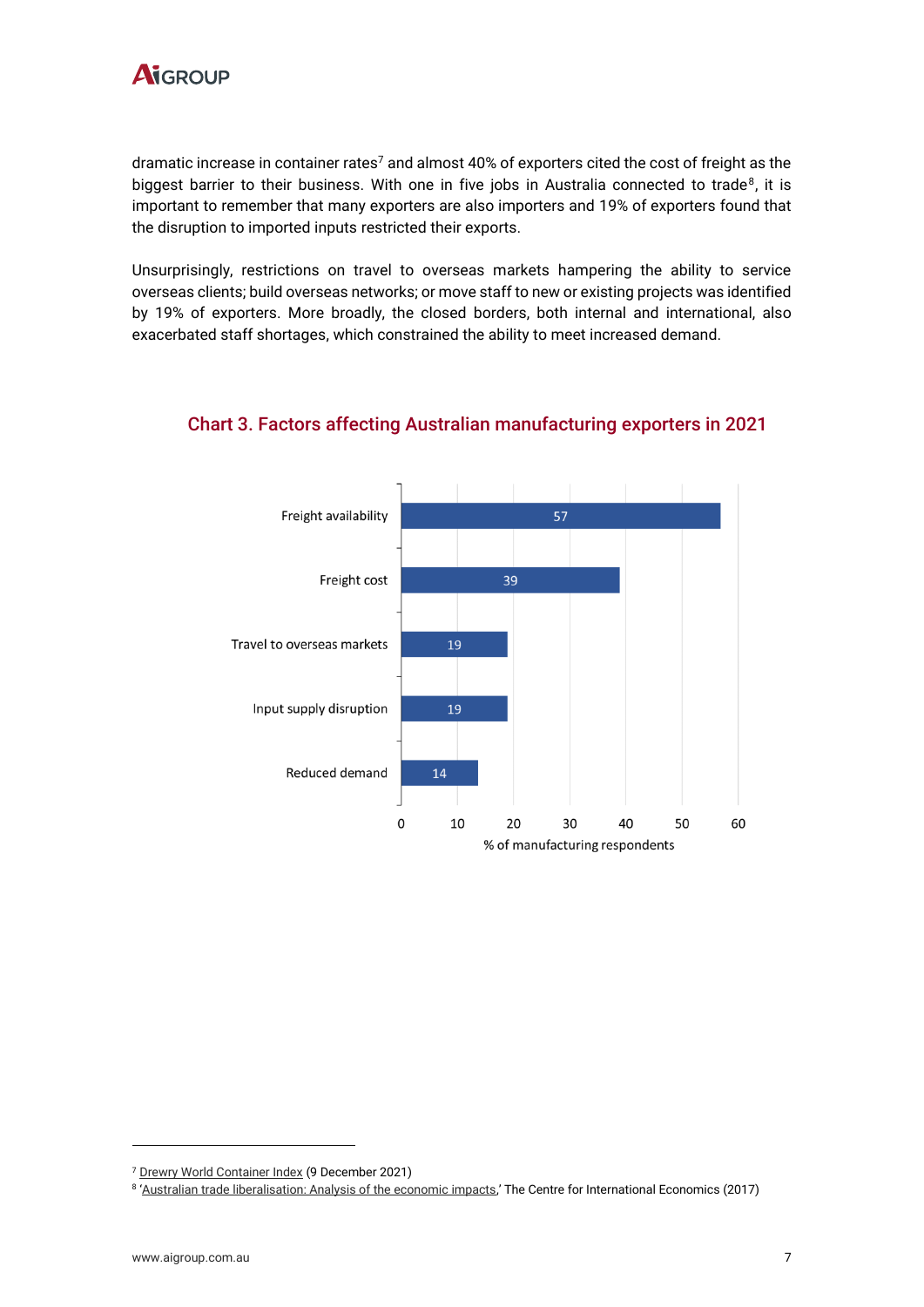

dramatic increase in container rates<sup>7</sup> and almost 40% of exporters cited the cost of freight as the biggest barrier to their business. With one in five jobs in Australia connected to trade $^8$ , it is important to remember that many exporters are also importers and 19% of exporters found that the disruption to imported inputs restricted their exports.

Unsurprisingly, restrictions on travel to overseas markets hampering the ability to service overseas clients; build overseas networks; or move staff to new or existing projects was identified by 19% of exporters. More broadly, the closed borders, both internal and international, also exacerbated staff shortages, which constrained the ability to meet increased demand.



#### Chart 3. Factors affecting Australian manufacturing exporters in 2021

<sup>7</sup> [Drewry World Container Index](https://www.drewry.co.uk/supply-chain-advisors/supply-chain-expertise/world-container-index-assessed-by-drewry) (9 December 2021)

<sup>8</sup> '[Australian trade liberalisation: Analysis of the economic impacts](https://www.dfat.gov.au/sites/default/files/cie-report-trade-liberalisation.pdf),' The Centre for International Economics (2017)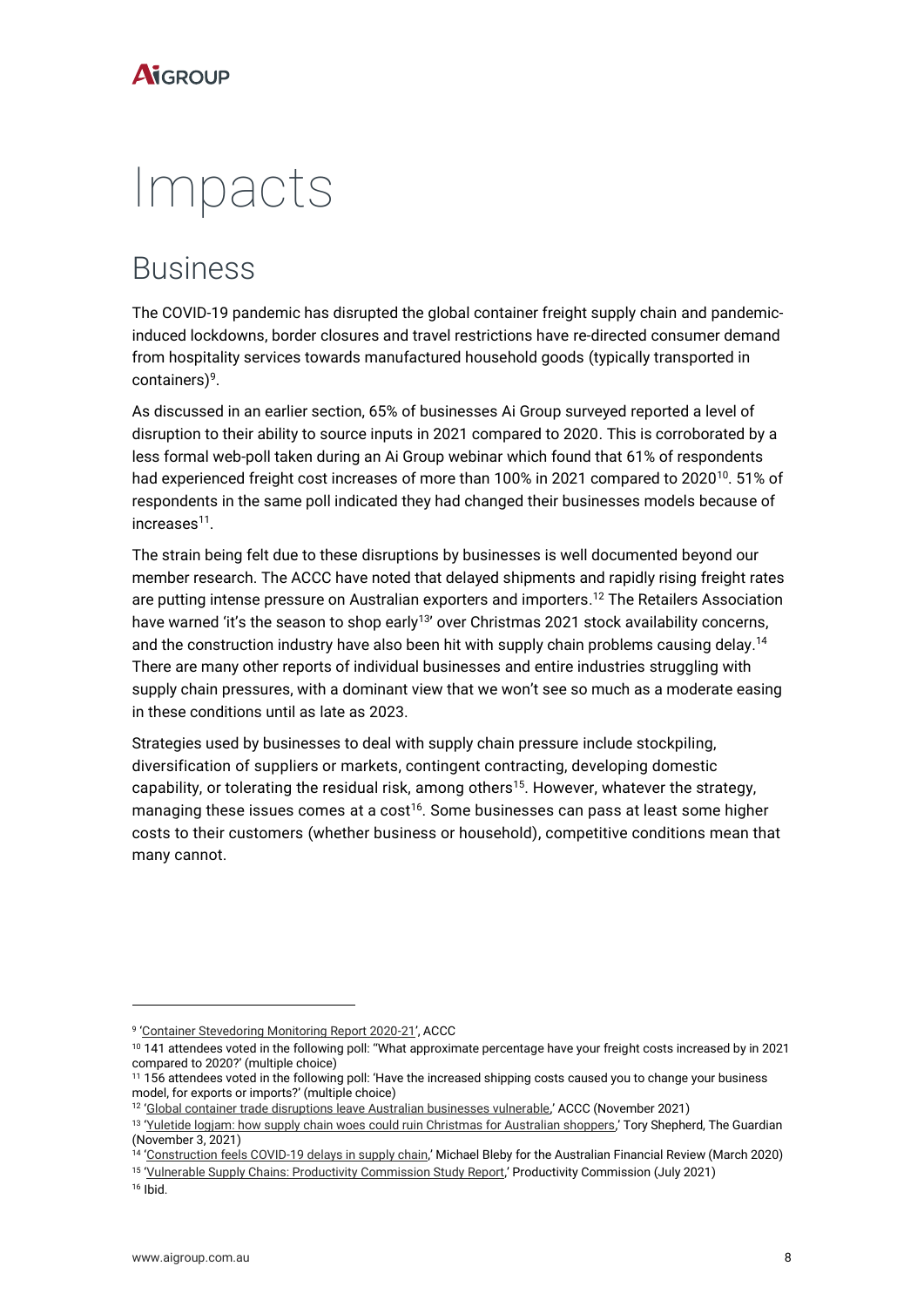## Impacts

### Business

The COVID-19 pandemic has disrupted the global container freight supply chain and pandemicinduced lockdowns, border closures and travel restrictions have re-directed consumer demand from hospitality services towards manufactured household goods (typically transported in containers) 9 .

As discussed in an earlier section, 65% of businesses Ai Group surveyed reported a level of disruption to their ability to source inputs in 2021 compared to 2020. This is corroborated by a less formal web-poll taken during an Ai Group webinar which found that 61% of respondents had experienced freight cost increases of more than 100% in 2021 compared to 2020 $^{10}$ . 51% of respondents in the same poll indicated they had changed their businesses models because of increases<sup>11</sup>.

The strain being felt due to these disruptions by businesses is well documented beyond our member research. The ACCC have noted that delayed shipments and rapidly rising freight rates are putting intense pressure on Australian exporters and importers. <sup>12</sup> The Retailers Association have warned 'it's the season to shop early<sup>13</sup>' over Christmas 2021 stock availability concerns, and the construction industry have also been hit with supply chain problems causing delay.<sup>14</sup> There are many other reports of individual businesses and entire industries struggling with supply chain pressures, with a dominant view that we won't see so much as a moderate easing in these conditions until as late as 2023.

Strategies used by businesses to deal with supply chain pressure include stockpiling, diversification of suppliers or markets, contingent contracting, developing domestic capability, or tolerating the residual risk, among others<sup>15</sup>. However, whatever the strategy, managing these issues comes at a cost<sup>16</sup>. Some businesses can pass at least some higher costs to their customers (whether business or household), competitive conditions mean that many cannot.

 $16$  Ibid.

<sup>9</sup> '[Container Stevedoring Monitoring Report 2020-21](https://www.accc.gov.au/system/files/Container%20stevedoring%20monitoring%20report%202020-21.pdf)', ACCC

<sup>10 141</sup> attendees voted in the following poll: "What approximate percentage have your freight costs increased by in 2021 compared to 2020?' (multiple choice)

<sup>11</sup> 156 attendees voted in the following poll: 'Have the increased shipping costs caused you to change your business model, for exports or imports?' (multiple choice)

<sup>&</sup>lt;sup>12</sup> '[Global container trade disruptions leave Australian businesses vulnerable](https://www.accc.gov.au/media-release/global-container-trade-disruptions-leave-australian-businesses-vulnerable#:~:text=Global%20container%20trade%20disruptions%20leave%20Australian%20businesses%20vulnerable,-4%20November%202021&text=The%20COVID%2D19%20pandemic%20has,report%20from%20the%20ACCC%20reveals.),' ACCC (November 2021)

<sup>&</sup>lt;sup>13</sup> '[Yuletide logjam: how supply chain woes could ruin Christmas for Australian shoppers](https://www.theguardian.com/australia-news/2021/nov/03/yuletide-logjam-how-supply-chain-woes-could-ruin-christmas-for-australian-shoppers),' Tory Shepherd, The Guardian (November 3, 2021)

<sup>&</sup>lt;sup>14</sup> '[Construction feels COVID-19 delays in supply chain](https://www.afr.com/property/commercial/construction-feels-covid-19-delays-in-supply-chain-20200304-p546pv),' Michael Bleby for the Australian Financial Review (March 2020)

<sup>&</sup>lt;sup>15</sup> '<u>[Vulnerable Supply Chains: Productivity Commission Study Report](https://www.pc.gov.au/inquiries/completed/supply-chains/report)</u>,' Productivity Commission (July 2021)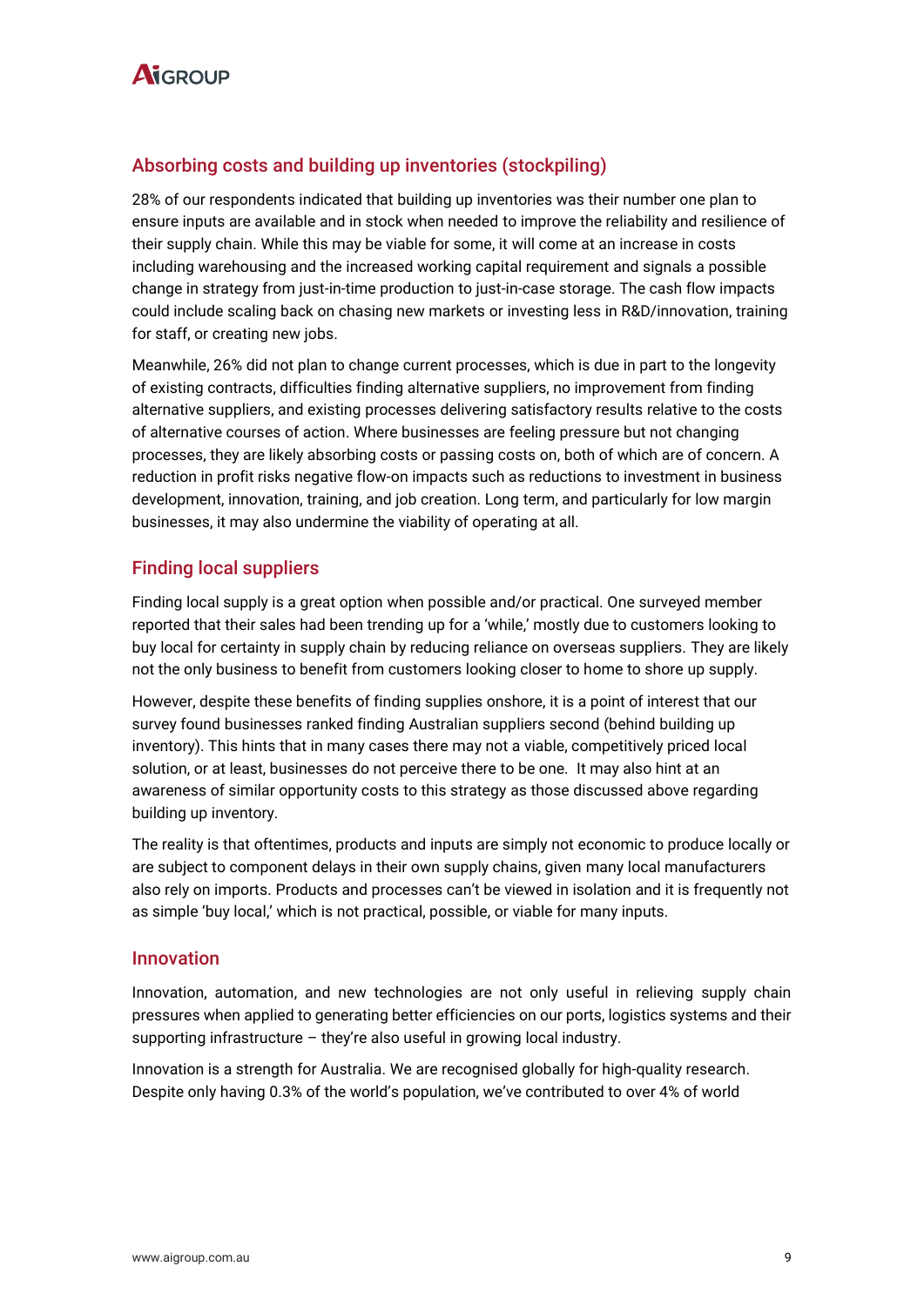

#### Absorbing costs and building up inventories (stockpiling)

28% of our respondents indicated that building up inventories was their number one plan to ensure inputs are available and in stock when needed to improve the reliability and resilience of their supply chain. While this may be viable for some, it will come at an increase in costs including warehousing and the increased working capital requirement and signals a possible change in strategy from just-in-time production to just-in-case storage. The cash flow impacts could include scaling back on chasing new markets or investing less in R&D/innovation, training for staff, or creating new jobs.

Meanwhile, 26% did not plan to change current processes, which is due in part to the longevity of existing contracts, difficulties finding alternative suppliers, no improvement from finding alternative suppliers, and existing processes delivering satisfactory results relative to the costs of alternative courses of action. Where businesses are feeling pressure but not changing processes, they are likely absorbing costs or passing costs on, both of which are of concern. A reduction in profit risks negative flow-on impacts such as reductions to investment in business development, innovation, training, and job creation. Long term, and particularly for low margin businesses, it may also undermine the viability of operating at all.

#### Finding local suppliers

Finding local supply is a great option when possible and/or practical. One surveyed member reported that their sales had been trending up for a 'while,' mostly due to customers looking to buy local for certainty in supply chain by reducing reliance on overseas suppliers. They are likely not the only business to benefit from customers looking closer to home to shore up supply.

However, despite these benefits of finding supplies onshore, it is a point of interest that our survey found businesses ranked finding Australian suppliers second (behind building up inventory). This hints that in many cases there may not a viable, competitively priced local solution, or at least, businesses do not perceive there to be one. It may also hint at an awareness of similar opportunity costs to this strategy as those discussed above regarding building up inventory.

The reality is that oftentimes, products and inputs are simply not economic to produce locally or are subject to component delays in their own supply chains, given many local manufacturers also rely on imports. Products and processes can't be viewed in isolation and it is frequently not as simple 'buy local,' which is not practical, possible, or viable for many inputs.

#### Innovation

Innovation, automation, and new technologies are not only useful in relieving supply chain pressures when applied to generating better efficiencies on our ports, logistics systems and their supporting infrastructure – they're also useful in growing local industry.

Innovation is a strength for Australia. We are recognised globally for high-quality research. Despite only having 0.3% of the world's population, we've contributed to over 4% of world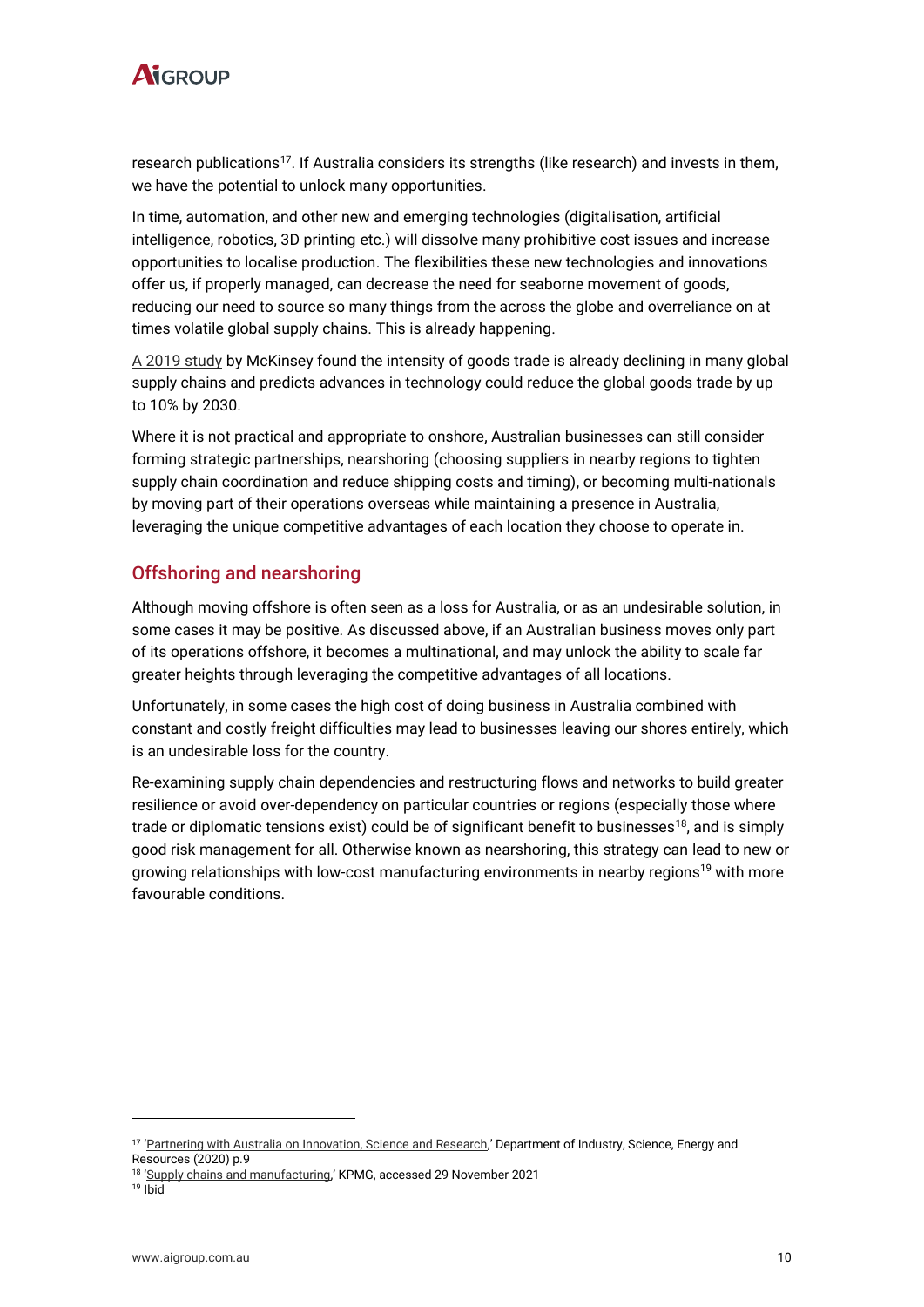

research publications<sup>17</sup>. If Australia considers its strengths (like research) and invests in them, we have the potential to unlock many opportunities.

In time, automation, and other new and emerging technologies (digitalisation, artificial intelligence, robotics, 3D printing etc.) will dissolve many prohibitive cost issues and increase opportunities to localise production. The flexibilities these new technologies and innovations offer us, if properly managed, can decrease the need for seaborne movement of goods, reducing our need to source so many things from the across the globe and overreliance on at times volatile global supply chains. This is already happening.

[A 2019 study](https://www.mckinsey.com/featured-insights/innovation-and-growth/globalization-in-transition-the-future-of-trade-and-value-chains) by McKinsey found the intensity of goods trade is already declining in many global supply chains and predicts advances in technology could reduce the global goods trade by up to 10% by 2030.

Where it is not practical and appropriate to onshore, Australian businesses can still consider forming strategic partnerships, nearshoring (choosing suppliers in nearby regions to tighten supply chain coordination and reduce shipping costs and timing), or becoming multi-nationals by moving part of their operations overseas while maintaining a presence in Australia, leveraging the unique competitive advantages of each location they choose to operate in.

#### Offshoring and nearshoring

Although moving offshore is often seen as a loss for Australia, or as an undesirable solution, in some cases it may be positive. As discussed above, if an Australian business moves only part of its operations offshore, it becomes a multinational, and may unlock the ability to scale far greater heights through leveraging the competitive advantages of all locations.

Unfortunately, in some cases the high cost of doing business in Australia combined with constant and costly freight difficulties may lead to businesses leaving our shores entirely, which is an undesirable loss for the country.

Re-examining supply chain dependencies and restructuring flows and networks to build greater resilience or avoid over-dependency on particular countries or regions (especially those where trade or diplomatic tensions exist) could be of significant benefit to businesses<sup>18</sup>, and is simply good risk management for all. Otherwise known as nearshoring, this strategy can lead to new or growing relationships with low-cost manufacturing environments in nearby regions<sup>19</sup> with more favourable conditions.

<sup>&</sup>lt;sup>17</sup> '[Partnering with Australia on Innovation, Science and Research](https://www.industry.gov.au/sites/default/files/2018-10/partnering-with-australia-on-science-innovation-and-research.pdf),' Department of Industry, Science, Energy and Resources (2020) p.9

<sup>&</sup>lt;sup>18</sup> '[Supply chains and manufacturing](https://home.kpmg/au/en/home/insights/2020/05/predictions-after-covid-19/supply-chains-manufacturing-become-local-agile-smart.html),' KPMG, accessed 29 November 2021

 $19$  Ibid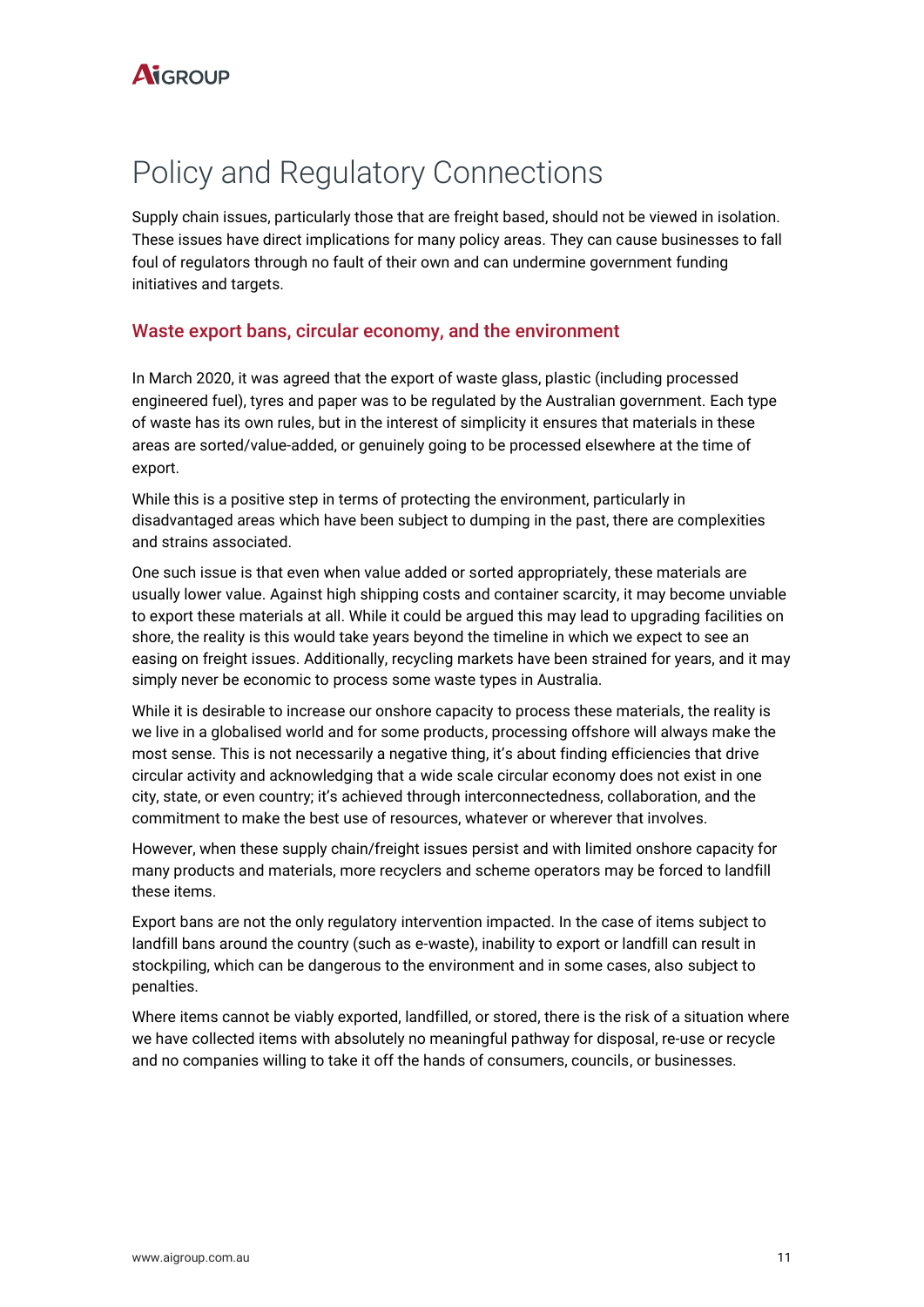### Policy and Regulatory Connections

Supply chain issues, particularly those that are freight based, should not be viewed in isolation. These issues have direct implications for many policy areas. They can cause businesses to fall foul of regulators through no fault of their own and can undermine government funding initiatives and targets.

#### Waste export bans, circular economy, and the environment

In March 2020, it was agreed that the export of waste glass, plastic (including processed engineered fuel), tyres and paper was to be regulated by the Australian government. Each type of waste has its own rules, but in the interest of simplicity it ensures that materials in these areas are sorted/value-added, or genuinely going to be processed elsewhere at the time of export.

While this is a positive step in terms of protecting the environment, particularly in disadvantaged areas which have been subject to dumping in the past, there are complexities and strains associated.

One such issue is that even when value added or sorted appropriately, these materials are usually lower value. Against high shipping costs and container scarcity, it may become unviable to export these materials at all. While it could be argued this may lead to upgrading facilities on shore, the reality is this would take years beyond the timeline in which we expect to see an easing on freight issues. Additionally, recycling markets have been strained for years, and it may simply never be economic to process some waste types in Australia.

While it is desirable to increase our onshore capacity to process these materials, the reality is we live in a globalised world and for some products, processing offshore will always make the most sense. This is not necessarily a negative thing, it's about finding efficiencies that drive circular activity and acknowledging that a wide scale circular economy does not exist in one city, state, or even country; it's achieved through interconnectedness, collaboration, and the commitment to make the best use of resources, whatever or wherever that involves.

However, when these supply chain/freight issues persist and with limited onshore capacity for many products and materials, more recyclers and scheme operators may be forced to landfill these items.

Export bans are not the only regulatory intervention impacted. In the case of items subject to landfill bans around the country (such as e-waste), inability to export or landfill can result in stockpiling, which can be dangerous to the environment and in some cases, also subject to penalties.

Where items cannot be viably exported, landfilled, or stored, there is the risk of a situation where we have collected items with absolutely no meaningful pathway for disposal, re-use or recycle and no companies willing to take it off the hands of consumers, councils, or businesses.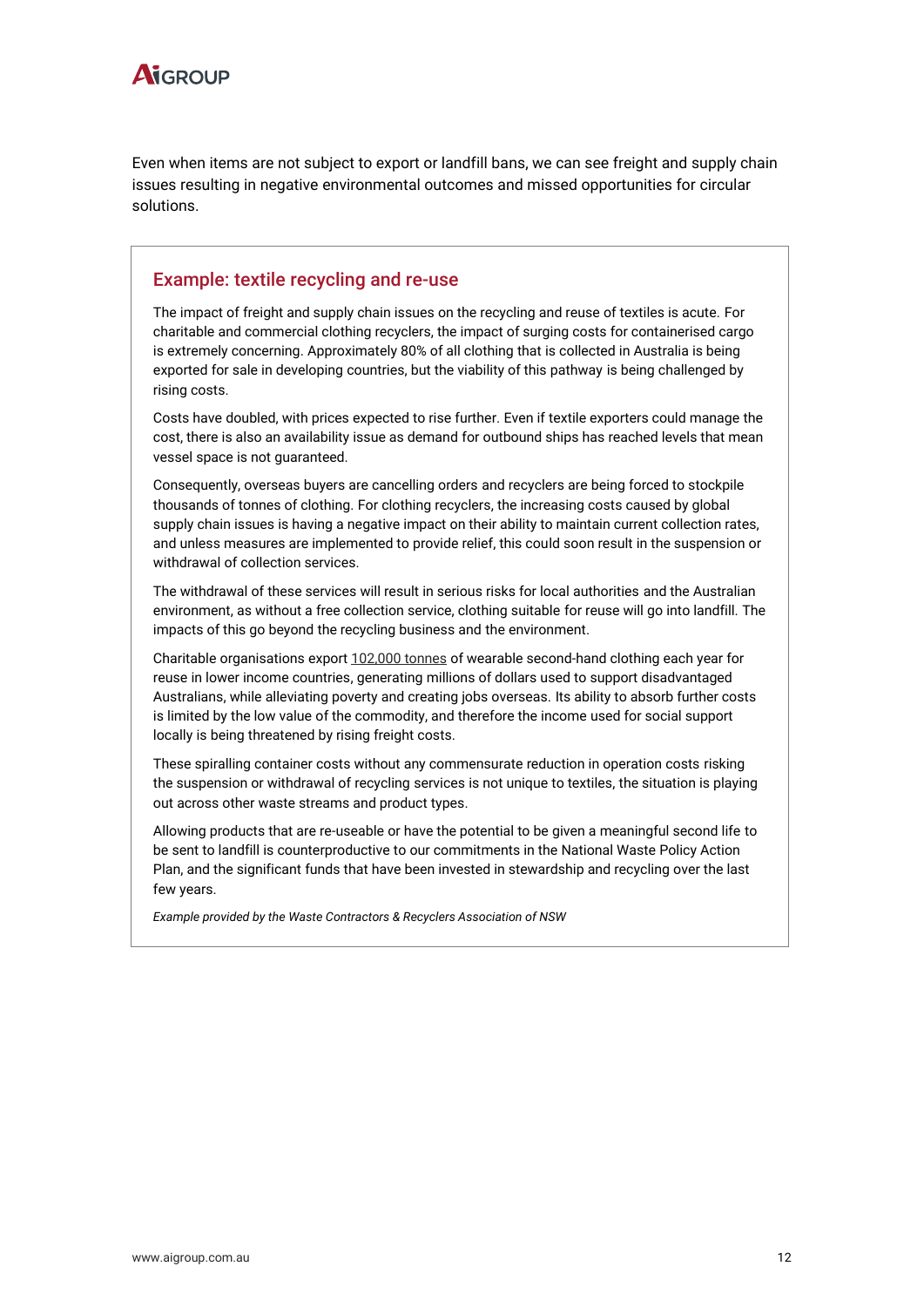

Even when items are not subject to export or landfill bans, we can see freight and supply chain issues resulting in negative environmental outcomes and missed opportunities for circular solutions.

#### Example: textile recycling and re-use

The impact of freight and supply chain issues on the recycling and reuse of textiles is acute. For charitable and commercial clothing recyclers, the impact of surging costs for containerised cargo is extremely concerning. Approximately 80% of all clothing that is collected in Australia is being exported for sale in developing countries, but the viability of this pathway is being challenged by rising costs.

Costs have doubled, with prices expected to rise further. Even if textile exporters could manage the cost, there is also an availability issue as demand for outbound ships has reached levels that mean vessel space is not guaranteed.

Consequently, overseas buyers are cancelling orders and recyclers are being forced to stockpile thousands of tonnes of clothing. For clothing recyclers, the increasing costs caused by global supply chain issues is having a negative impact on their ability to maintain current collection rates, and unless measures are implemented to provide relief, this could soon result in the suspension or withdrawal of collection services.

The withdrawal of these services will result in serious risks for local authorities and the Australian environment, as without a free collection service, clothing suitable for reuse will go into landfill. The impacts of this go beyond the recycling business and the environment.

Charitable organisations expor[t 102,000 tonnes](https://www.charitablerecycling.org.au/education/charitable-impact/) of wearable second-hand clothing each year for reuse in lower income countries, generating millions of dollars used to support disadvantaged Australians, while alleviating poverty and creating jobs overseas. Its ability to absorb further costs is limited by the low value of the commodity, and therefore the income used for social support locally is being threatened by rising freight costs.

These spiralling container costs without any commensurate reduction in operation costs risking the suspension or withdrawal of recycling services is not unique to textiles, the situation is playing out across other waste streams and product types.

Allowing products that are re-useable or have the potential to be given a meaningful second life to be sent to landfill is counterproductive to our commitments in the National Waste Policy Action Plan, and the significant funds that have been invested in stewardship and recycling over the last few years.

*Example provided by the Waste Contractors & Recyclers Association of NSW*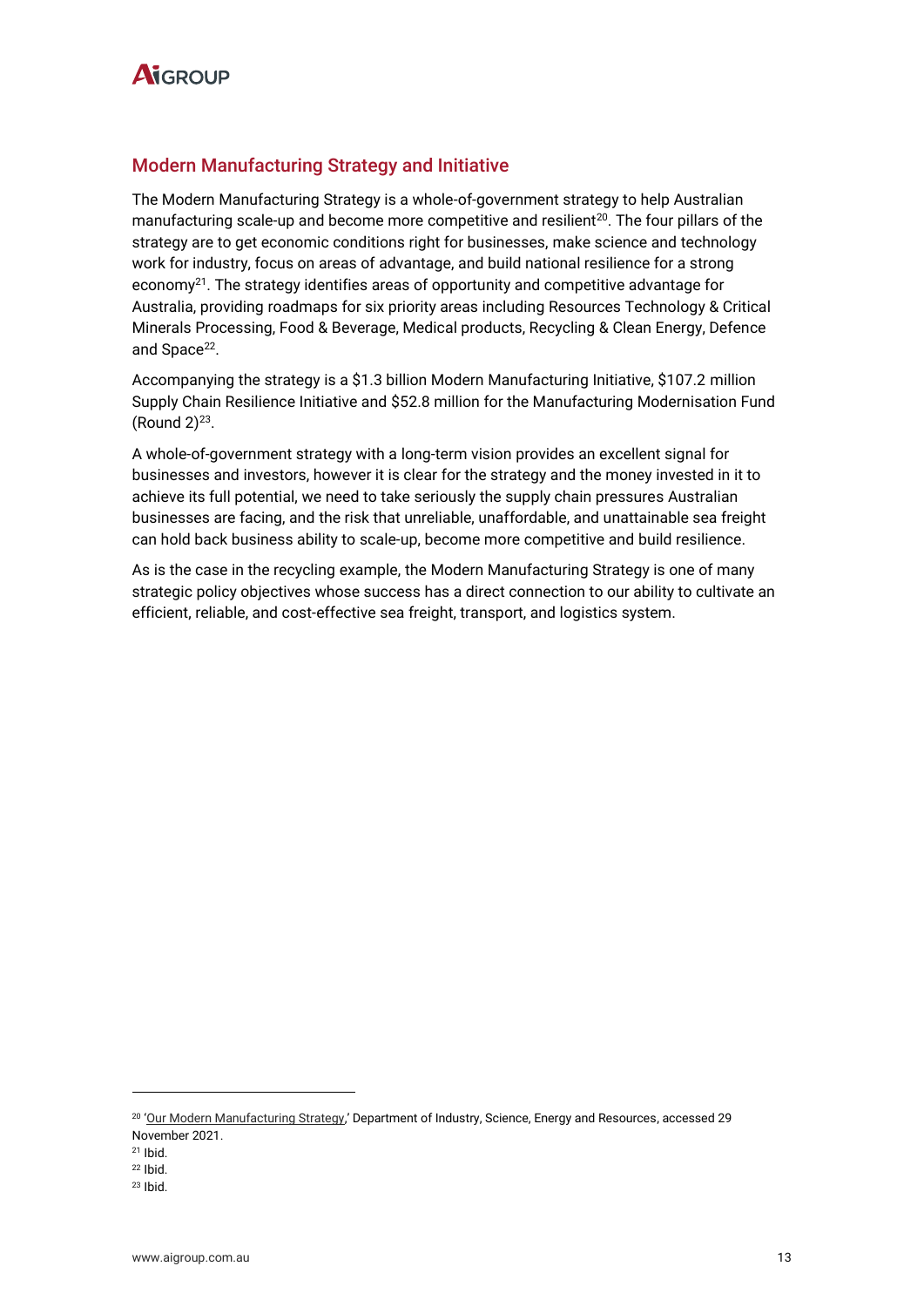

#### Modern Manufacturing Strategy and Initiative

The Modern Manufacturing Strategy is a whole-of-government strategy to help Australian manufacturing scale-up and become more competitive and resilient<sup>20</sup>. The four pillars of the strategy are to get economic conditions right for businesses, make science and technology work for industry, focus on areas of advantage, and build national resilience for a strong economy<sup>21</sup>. The strategy identifies areas of opportunity and competitive advantage for Australia, providing roadmaps for six priority areas including Resources Technology & Critical Minerals Processing, Food & Beverage, Medical products, Recycling & Clean Energy, Defence and Space<sup>22</sup>.

Accompanying the strategy is a \$1.3 billion Modern Manufacturing Initiative, \$107.2 million Supply Chain Resilience Initiative and \$52.8 million for the Manufacturing Modernisation Fund  $(Round 2)^{23}$ .

A whole-of-government strategy with a long-term vision provides an excellent signal for businesses and investors, however it is clear for the strategy and the money invested in it to achieve its full potential, we need to take seriously the supply chain pressures Australian businesses are facing, and the risk that unreliable, unaffordable, and unattainable sea freight can hold back business ability to scale-up, become more competitive and build resilience.

As is the case in the recycling example, the Modern Manufacturing Strategy is one of many strategic policy objectives whose success has a direct connection to our ability to cultivate an efficient, reliable, and cost-effective sea freight, transport, and logistics system.

<sup>20</sup> '[Our Modern Manufacturing Strategy](https://www.industry.gov.au/data-and-publications/make-it-happen-the-australian-governments-modern-manufacturing-strategy/our-modern-manufacturing-strategy),' Department of Industry, Science, Energy and Resources, accessed 29 November 2021.

 $21$  Ibid.

<sup>22</sup> Ibid.

 $23$  Ibid.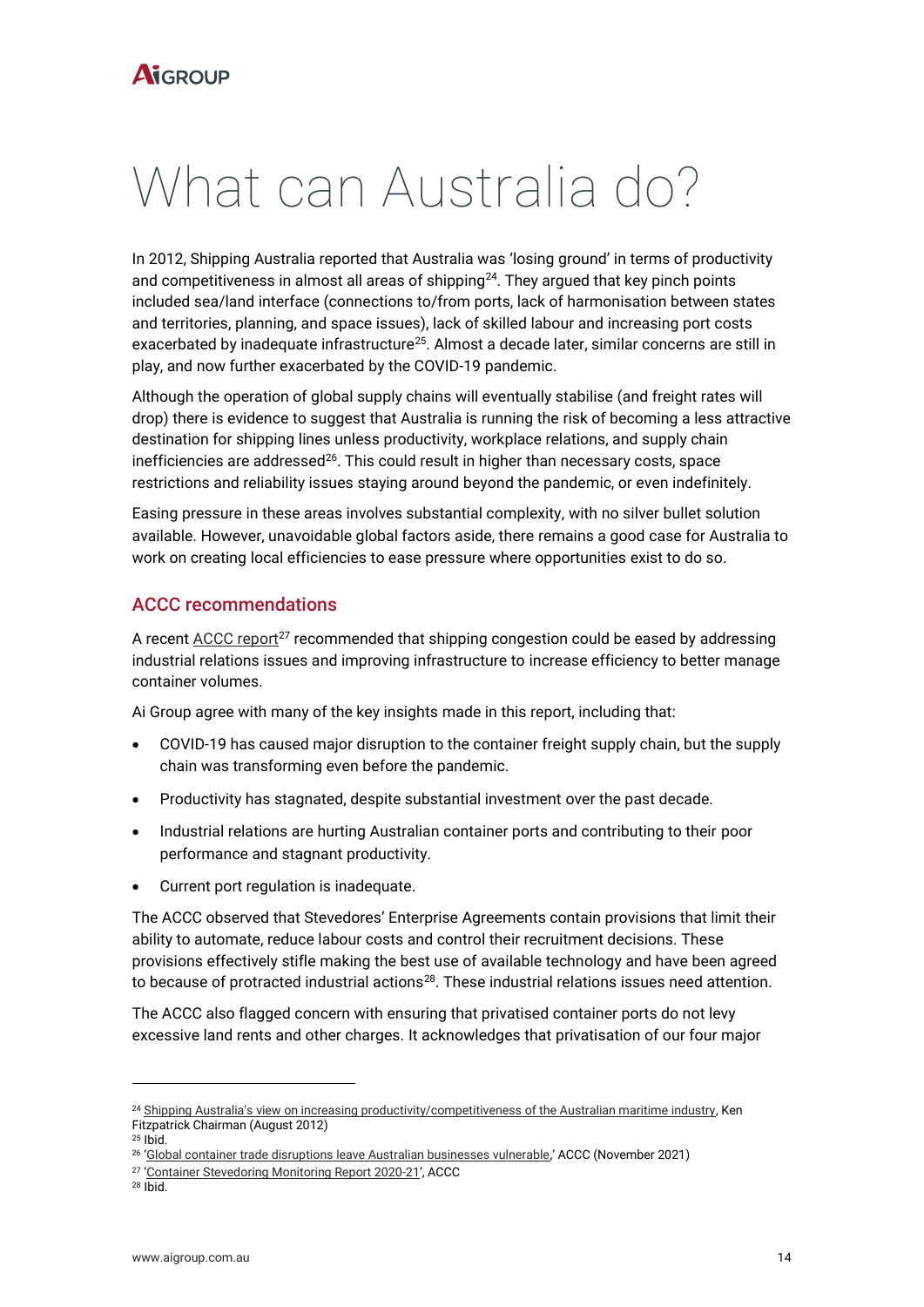## What can Australia do?

In 2012, Shipping Australia reported that Australia was 'losing ground' in terms of productivity and competitiveness in almost all areas of shipping<sup>24</sup>. They argued that key pinch points included sea/land interface (connections to/from ports, lack of harmonisation between states and territories, planning, and space issues), lack of skilled labour and increasing port costs exacerbated by inadequate infrastructure<sup>25</sup>. Almost a decade later, similar concerns are still in play, and now further exacerbated by the COVID-19 pandemic.

Although the operation of global supply chains will eventually stabilise (and freight rates will drop) there is evidence to suggest that Australia is running the risk of becoming a less attractive destination for shipping lines unless productivity, workplace relations, and supply chain inefficiencies are addressed $^{26}$ . This could result in higher than necessary costs, space restrictions and reliability issues staying around beyond the pandemic, or even indefinitely.

Easing pressure in these areas involves substantial complexity, with no silver bullet solution available. However, unavoidable global factors aside, there remains a good case for Australia to work on creating local efficiencies to ease pressure where opportunities exist to do so.

#### ACCC recommendations

A recent  $ACCC$  report<sup>27</sup> recommended that shipping congestion could be eased by addressing industrial relations issues and improving infrastructure to increase efficiency to better manage container volumes.

Ai Group agree with many of the key insights made in this report, including that:

- COVID-19 has caused major disruption to the container freight supply chain, but the supply chain was transforming even before the pandemic.
- Productivity has stagnated, despite substantial investment over the past decade.
- Industrial relations are hurting Australian container ports and contributing to their poor performance and stagnant productivity.
- Current port regulation is inadequate.

The ACCC observed that Stevedores' Enterprise Agreements contain provisions that limit their ability to automate, reduce labour costs and control their recruitment decisions. These provisions effectively stifle making the best use of available technology and have been agreed to because of protracted industrial actions $^{28}$ . These industrial relations issues need attention.

The ACCC also flagged concern with ensuring that privatised container ports do not levy excessive land rents and other charges. It acknowledges that privatisation of our four major

<sup>&</sup>lt;sup>24</sup> [Shipping Australia's view on increasing productivity/competitiveness of the Australian maritime industry](https://shippingaustralia.com.au/wp-content/uploads/2012/01/No.-17-4.20pm-Ken-Fitzpatrick.ppt), Ken Fitzpatrick Chairman (August 2012)

 $25$  Ibid.

<sup>26</sup> '[Global container trade disruptions leave Australian businesses vulnerable](https://www.accc.gov.au/media-release/global-container-trade-disruptions-leave-australian-businesses-vulnerable),' ACCC (November 2021)

<sup>27</sup> '[Container Stevedoring Monitoring Report 2020-21](https://www.accc.gov.au/system/files/Container%20stevedoring%20monitoring%20report%202020-21.pdf)', ACCC

<sup>28</sup> Ibid.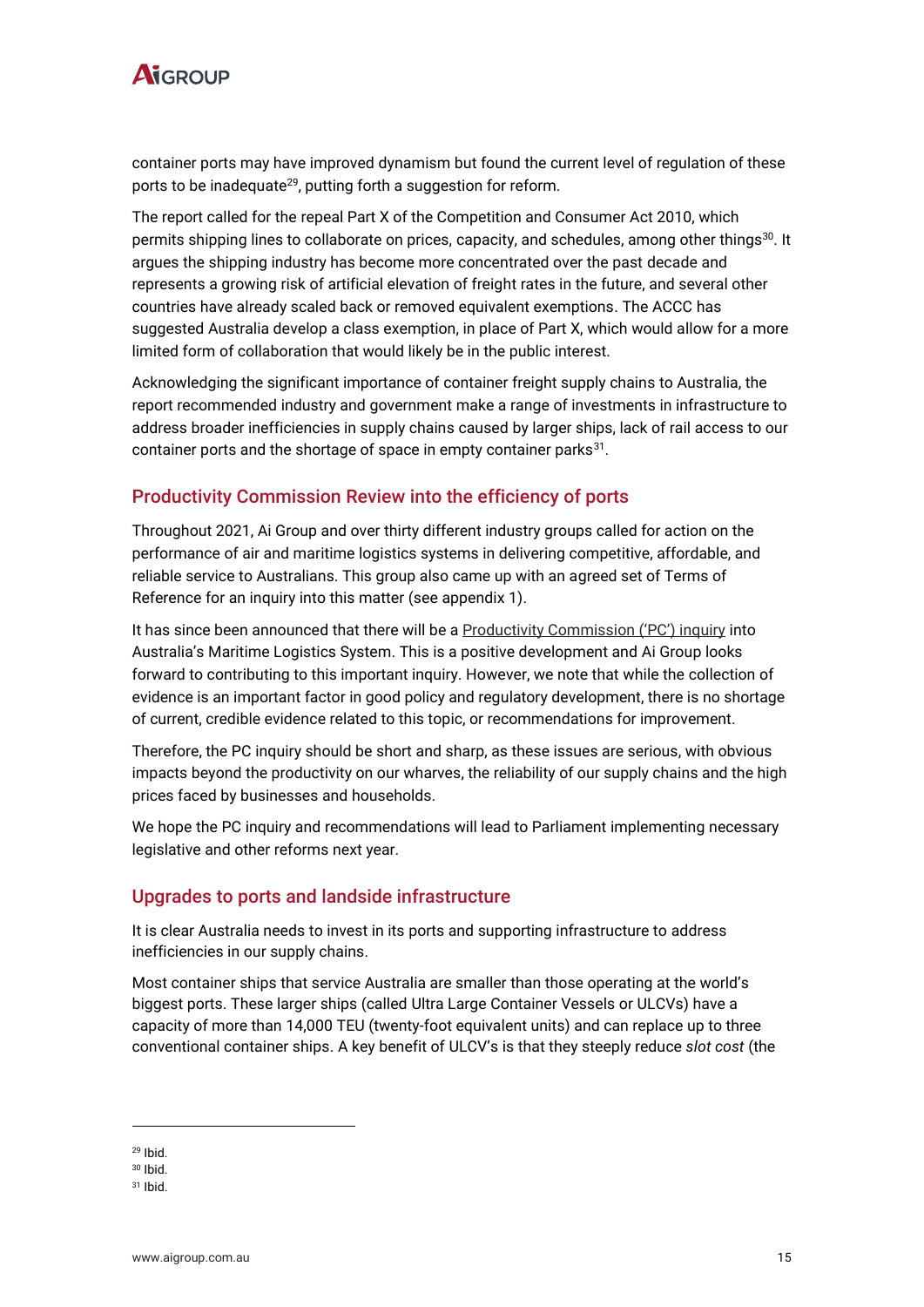

container ports may have improved dynamism but found the current level of regulation of these ports to be inadequate<sup>29</sup>, putting forth a suggestion for reform.

The report called for the repeal Part X of the Competition and Consumer Act 2010, which permits shipping lines to collaborate on prices, capacity, and schedules, among other things $^{\rm 30}.$  It argues the shipping industry has become more concentrated over the past decade and represents a growing risk of artificial elevation of freight rates in the future, and several other countries have already scaled back or removed equivalent exemptions. The ACCC has suggested Australia develop a class exemption, in place of Part X, which would allow for a more limited form of collaboration that would likely be in the public interest.

Acknowledging the significant importance of container freight supply chains to Australia, the report recommended industry and government make a range of investments in infrastructure to address broader inefficiencies in supply chains caused by larger ships, lack of rail access to our container ports and the shortage of space in empty container parks $^{31}$ .

#### Productivity Commission Review into the efficiency of ports

Throughout 2021, Ai Group and over thirty different industry groups called for action on the performance of air and maritime logistics systems in delivering competitive, affordable, and reliable service to Australians. This group also came up with an agreed set of Terms of Reference for an inquiry into this matter (see appendix 1).

It has since been announced that there will be a [Productivity Commission \('PC'\) inquiry](https://www.pc.gov.au/inquiries/current/maritime-logistics) into Australia's Maritime Logistics System. This is a positive development and Ai Group looks forward to contributing to this important inquiry. However, we note that while the collection of evidence is an important factor in good policy and regulatory development, there is no shortage of current, credible evidence related to this topic, or recommendations for improvement.

Therefore, the PC inquiry should be short and sharp, as these issues are serious, with obvious impacts beyond the productivity on our wharves, the reliability of our supply chains and the high prices faced by businesses and households.

We hope the PC inquiry and recommendations will lead to Parliament implementing necessary legislative and other reforms next year.

#### Upgrades to ports and landside infrastructure

It is clear Australia needs to invest in its ports and supporting infrastructure to address inefficiencies in our supply chains.

Most container ships that service Australia are smaller than those operating at the world's biggest ports. These larger ships (called Ultra Large Container Vessels or ULCVs) have a capacity of more than 14,000 TEU (twenty-foot equivalent units) and can replace up to three conventional container ships. A key benefit of ULCV's is that they steeply reduce *slot cost* (the

<sup>29</sup> Ibid.

<sup>30</sup> Ibid.

<sup>31</sup> Ibid.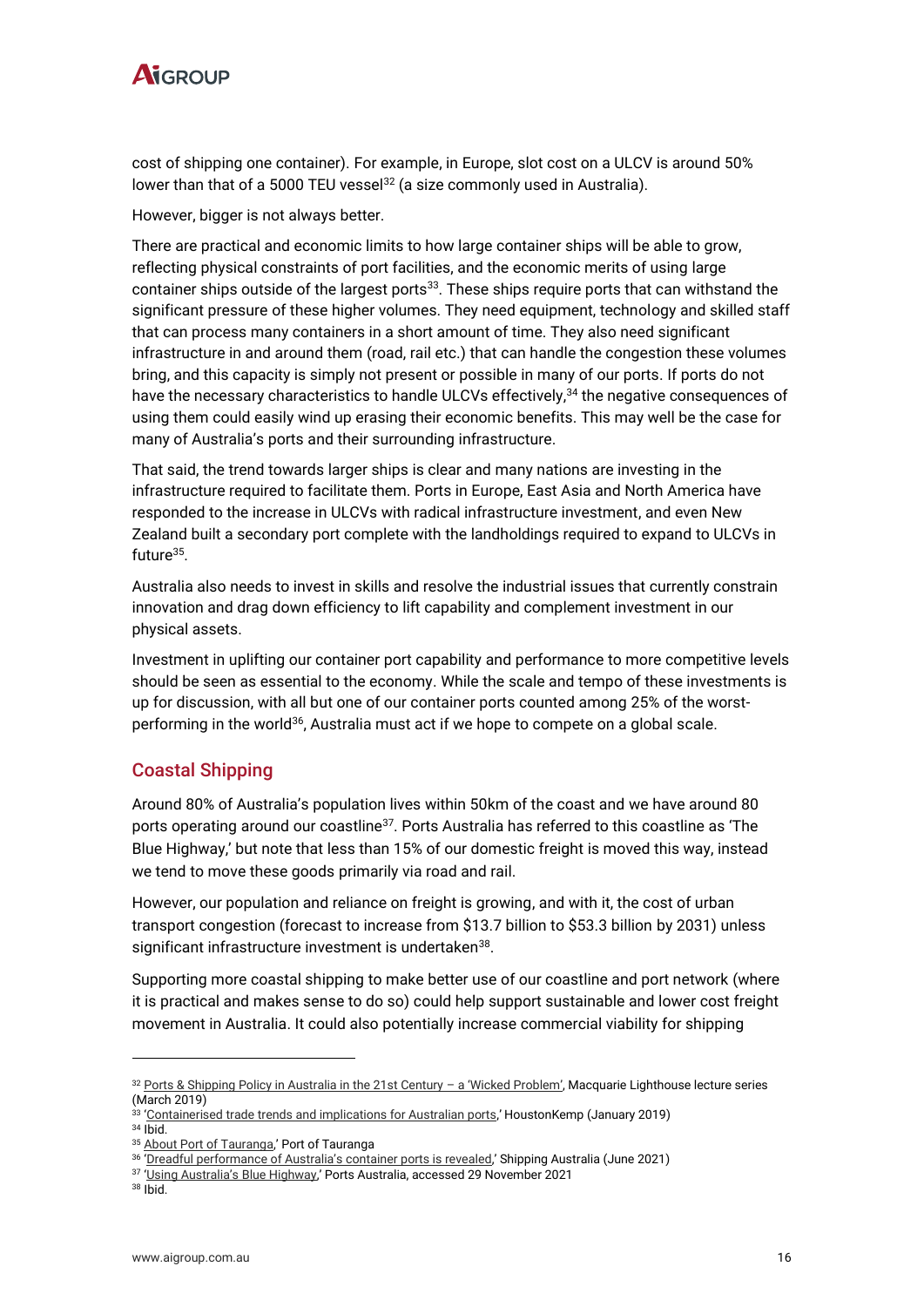

cost of shipping one container). For example, in Europe, slot cost on a ULCV is around 50% lower than that of a 5000 TEU vessel<sup>32</sup> (a size commonly used in Australia).

However, bigger is not always better.

There are practical and economic limits to how large container ships will be able to grow, reflecting physical constraints of port facilities, and the economic merits of using large container ships outside of the largest ports<sup>33</sup>. These ships require ports that can withstand the significant pressure of these higher volumes. They need equipment, technology and skilled staff that can process many containers in a short amount of time. They also need significant infrastructure in and around them (road, rail etc.) that can handle the congestion these volumes bring, and this capacity is simply not present or possible in many of our ports. If ports do not have the necessary characteristics to handle ULCVs effectively, <sup>34</sup> the negative consequences of using them could easily wind up erasing their economic benefits. This may well be the case for many of Australia's ports and their surrounding infrastructure.

That said, the trend towards larger ships is clear and many nations are investing in the infrastructure required to facilitate them. Ports in Europe, East Asia and North America have responded to the increase in ULCVs with radical infrastructure investment, and even New Zealand built a secondary port complete with the landholdings required to expand to ULCVs in future<sup>35</sup>.

Australia also needs to invest in skills and resolve the industrial issues that currently constrain innovation and drag down efficiency to lift capability and complement investment in our physical assets.

Investment in uplifting our container port capability and performance to more competitive levels should be seen as essential to the economy. While the scale and tempo of these investments is up for discussion, with all but one of our container ports counted among 25% of the worstperforming in the world<sup>36</sup>, Australia must act if we hope to compete on a global scale.

#### Coastal Shipping

Around 80% of Australia's population lives within 50km of the coast and we have around 80 ports operating around our coastline<sup>37</sup>. Ports Australia has referred to this coastline as 'The Blue Highway,' but note that less than 15% of our domestic freight is moved this way, instead we tend to move these goods primarily via road and rail.

However, our population and reliance on freight is growing, and with it, the cost of urban transport congestion (forecast to increase from \$13.7 billion to \$53.3 billion by 2031) unless significant infrastructure investment is undertaken<sup>38</sup>.

Supporting more coastal shipping to make better use of our coastline and port network (where it is practical and makes sense to do so) could help support sustainable and lower cost freight movement in Australia. It could also potentially increase commercial viability for shipping

<sup>32</sup> [Ports & Shipping Policy in Australia in the 21st Century](https://www.mq.edu.au/__data/assets/pdf_file/0008/743552/carmody-speech-20190304.pdf) - a 'Wicked Problem', Macquarie Lighthouse lecture series (March 2019)

<sup>33</sup> '[Containerised trade trends and implications for Australian ports](https://www.parliament.nsw.gov.au/lcdocs/other/12148/HoustonKemp-report---Containerised-trade-trends-and-implications-for-Australia-31-Jan-2019.pdf),' HoustonKemp (January 2019) <sup>34</sup> Ibid.

<sup>35</sup> [About Port of Tauranga](https://www.port-tauranga.co.nz/about-port-of-tauranga/),' Port of Tauranga

<sup>36</sup> 'Dreadful per[formance of Australia's container ports is revealed,'](https://www.shippingaustralia.com.au/dreadful-performance-of-australias-container-ports-is-revealed/) Shipping Australia (June 2021)

<sup>&</sup>lt;sup>37</sup> ['Using Australia's Blue Highway,'](https://www.portsaustralia.com.au/our-role/policy/blue-highway) Ports Australia, accessed 29 November 2021

<sup>38</sup> Ibid.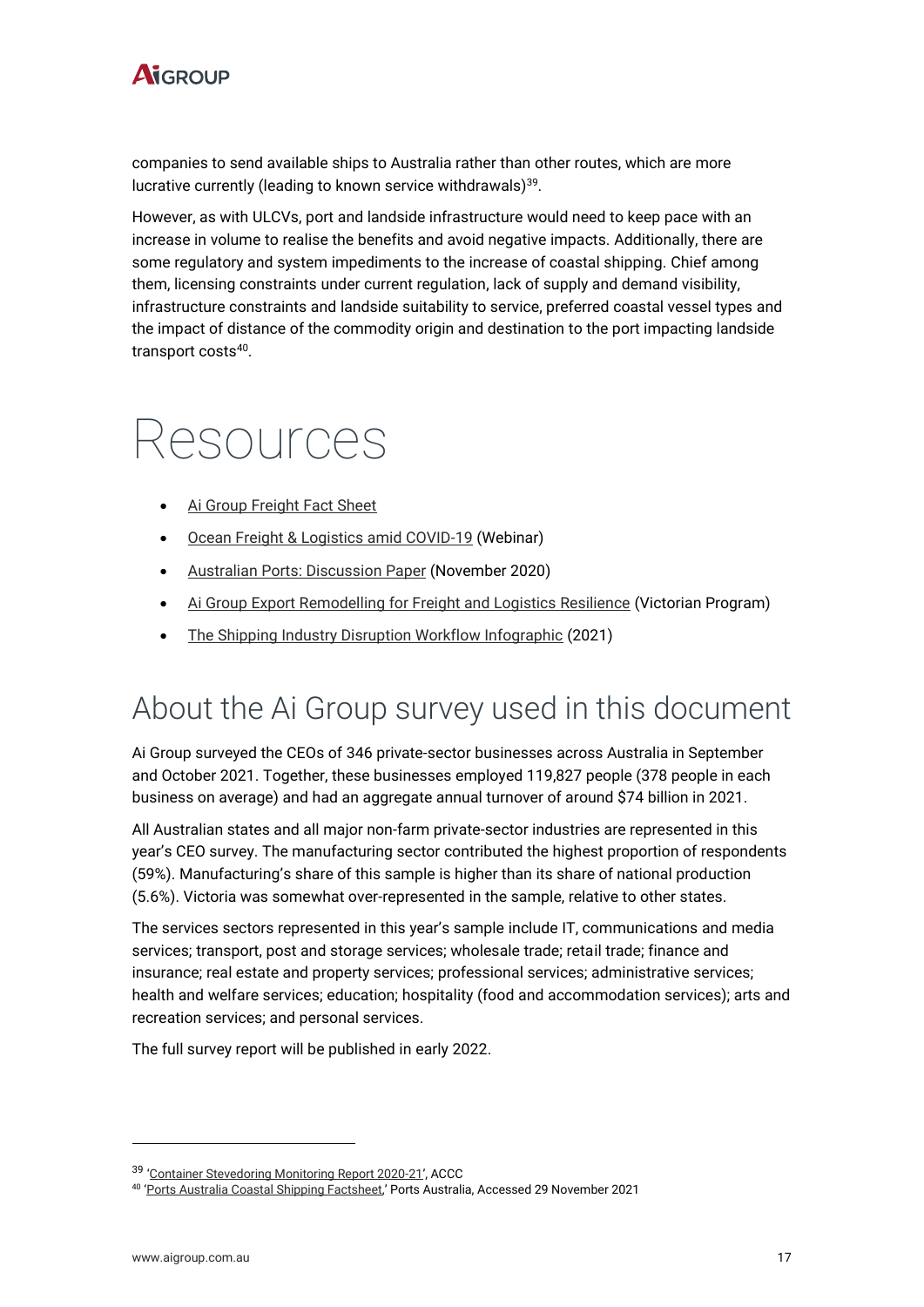

companies to send available ships to Australia rather than other routes, which are more lucrative currently (leading to known service withdrawals) 39 .

However, as with ULCVs, port and landside infrastructure would need to keep pace with an increase in volume to realise the benefits and avoid negative impacts. Additionally, there are some regulatory and system impediments to the increase of coastal shipping. Chief among them, licensing constraints under current regulation, lack of supply and demand visibility, infrastructure constraints and landside suitability to service, preferred coastal vessel types and the impact of distance of the commodity origin and destination to the port impacting landside transport costs<sup>40</sup>.

## Resources

- [Ai Group Freight Fact Sheet](https://www.aigroup.com.au/globalassets/news/reports/2021/research--economics/global_shipping_costs_and_availability_200821.pdf)
- [Ocean Freight & Logistics amid COVID-19](https://www.aigroup.com.au/news/webinars/2021/ocean-freight-logistics-amid-covid-19/) (Webinar)
- [Australian Ports: Discussion Paper](https://cdn.aigroup.com.au/Reports/2020/Aus_Ports_Discussion_Paper_23Nov_2020.pdf) (November 2020)
- [Ai Group Export Remodelling for Freight and Logistics Resilience](https://www.aigroup.com.au/services-and-advice/business-improvement/export-remodelling/) (Victorian Program)
- [The Shipping Industry Disruption Workflow Infographic](https://www.icecargo.com.au/wp-content/uploads/The-Shipping-Industry-Chaos-2021-Infographic-2.png) (2021)

### About the Ai Group survey used in this document

Ai Group surveyed the CEOs of 346 private-sector businesses across Australia in September and October 2021. Together, these businesses employed 119,827 people (378 people in each business on average) and had an aggregate annual turnover of around \$74 billion in 2021.

All Australian states and all major non-farm private-sector industries are represented in this year's CEO survey. The manufacturing sector contributed the highest proportion of respondents (59%). Manufacturing's share of this sample is higher than its share of national production (5.6%). Victoria was somewhat over-represented in the sample, relative to other states.

The services sectors represented in this year's sample include IT, communications and media services; transport, post and storage services; wholesale trade; retail trade; finance and insurance; real estate and property services; professional services; administrative services; health and welfare services; education; hospitality (food and accommodation services); arts and recreation services; and personal services.

The full survey report will be published in early 2022.

<sup>&</sup>lt;sup>39</sup> '[Container Stevedoring Monitoring Report 2020-21](https://www.accc.gov.au/system/files/Container%20stevedoring%20monitoring%20report%202020-21.pdf)', ACCC

<sup>40</sup> '[Ports Australia Coastal Shipping Factsheet](https://uploads-ssl.webflow.com/5b503e0a8411dabd7a173eb7/60934f678088e29eeb26074a_Ports%20Australia%20Coastal%20Shipping%20Factsheet.pdf),' Ports Australia, Accessed 29 November 2021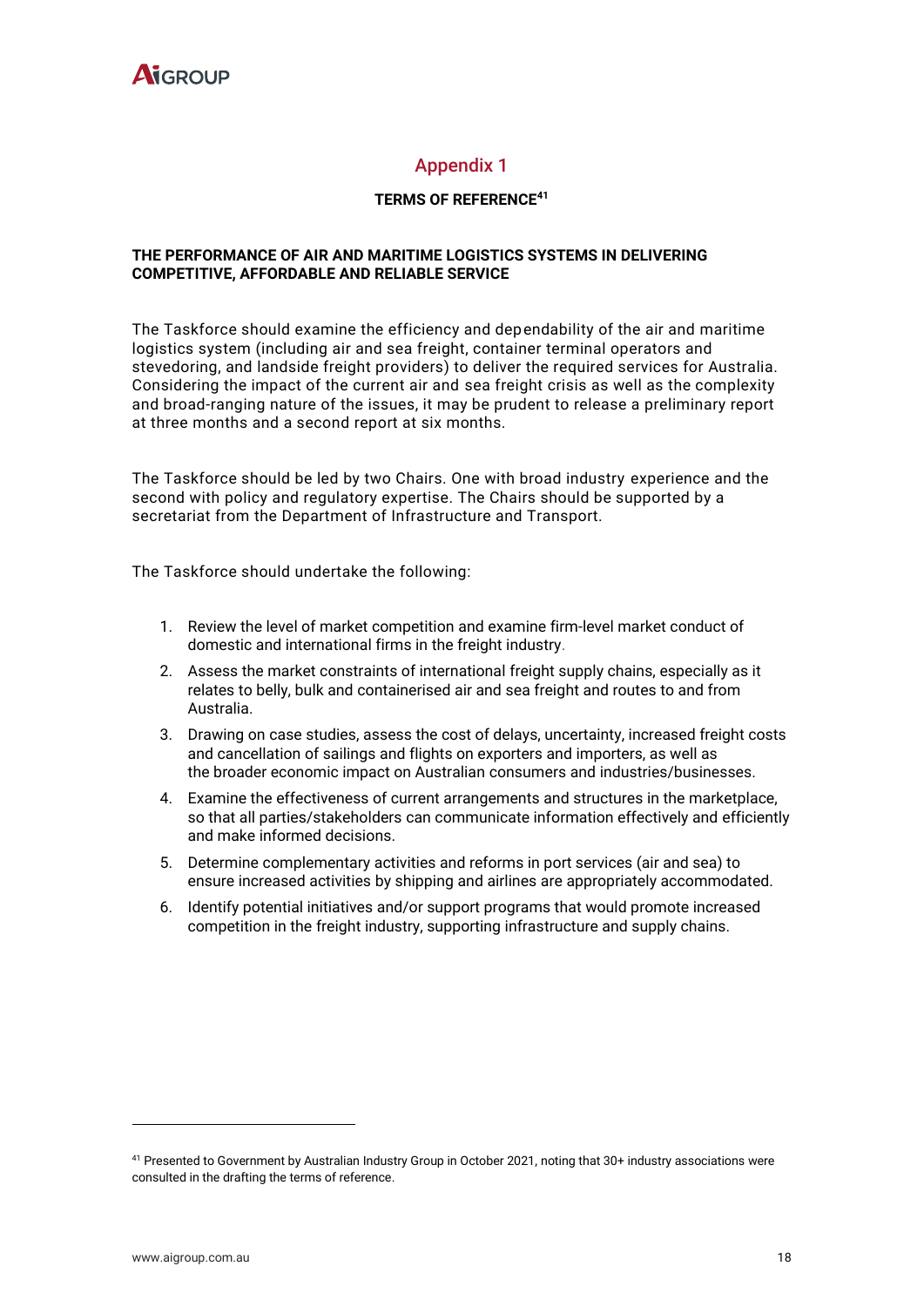

#### Appendix 1

#### **TERMS OF REFERENCE<sup>41</sup>**

#### **THE PERFORMANCE OF AIR AND MARITIME LOGISTICS SYSTEMS IN DELIVERING COMPETITIVE, AFFORDABLE AND RELIABLE SERVICE**

The Taskforce should examine the efficiency and dependability of the air and maritime logistics system (including air and sea freight, container terminal operators and stevedoring, and landside freight providers) to deliver the required services for Australia. Considering the impact of the current air and sea freight crisis as well as the complexity and broad-ranging nature of the issues, it may be prudent to release a preliminary report at three months and a second report at six months.

The Taskforce should be led by two Chairs. One with broad industry experience and the second with policy and regulatory expertise. The Chairs should be supported by a secretariat from the Department of Infrastructure and Transport.

The Taskforce should undertake the following:

- 1. Review the level of market competition and examine firm-level market conduct of domestic and international firms in the freight industry.
- 2. Assess the market constraints of international freight supply chains, especially as it relates to belly, bulk and containerised air and sea freight and routes to and from Australia.
- 3. Drawing on case studies, assess the cost of delays, uncertainty, increased freight costs and cancellation of sailings and flights on exporters and importers, as well as the broader economic impact on Australian consumers and industries/businesses.
- 4. Examine the effectiveness of current arrangements and structures in the marketplace, so that all parties/stakeholders can communicate information effectively and efficiently and make informed decisions.
- 5. Determine complementary activities and reforms in port services (air and sea) to ensure increased activities by shipping and airlines are appropriately accommodated.
- 6. Identify potential initiatives and/or support programs that would promote increased competition in the freight industry, supporting infrastructure and supply chains.

<sup>41</sup> Presented to Government by Australian Industry Group in October 2021, noting that 30+ industry associations were consulted in the drafting the terms of reference.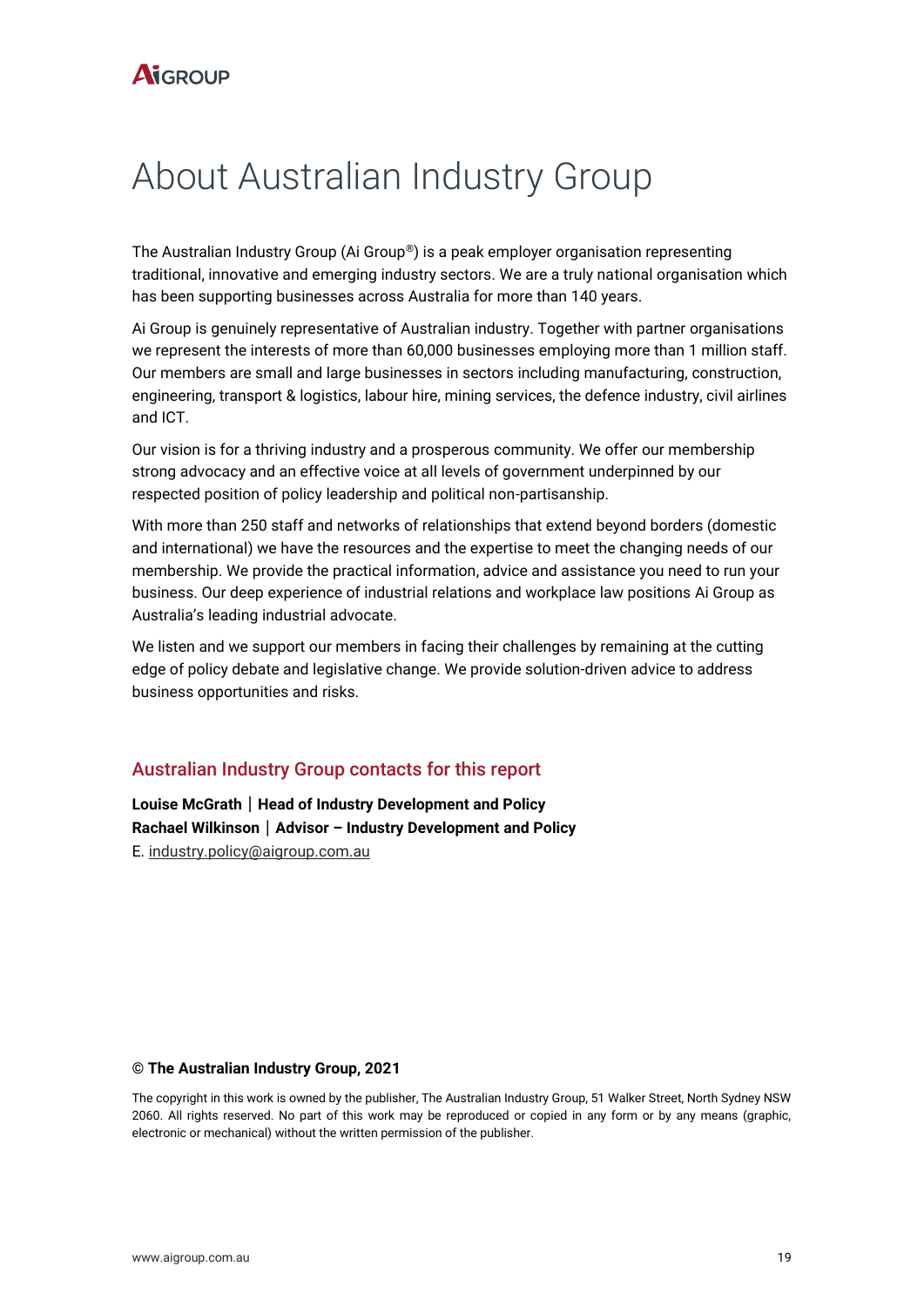## About Australian Industry Group

The Australian Industry Group (Ai Group®) is a peak employer organisation representing traditional, innovative and emerging industry sectors. We are a truly national organisation which has been supporting businesses across Australia for more than 140 years.

Ai Group is genuinely representative of Australian industry. Together with partner organisations we represent the interests of more than 60,000 businesses employing more than 1 million staff. Our members are small and large businesses in sectors including manufacturing, construction, engineering, transport & logistics, labour hire, mining services, the defence industry, civil airlines and ICT.

Our vision is for a thriving industry and a prosperous community. We offer our membership strong advocacy and an effective voice at all levels of government underpinned by our respected position of policy leadership and political non-partisanship.

With more than 250 staff and networks of relationships that extend beyond borders (domestic and international) we have the resources and the expertise to meet the changing needs of our membership. We provide the practical information, advice and assistance you need to run your business. Our deep experience of industrial relations and workplace law positions Ai Group as Australia's leading industrial advocate.

We listen and we support our members in facing their challenges by remaining at the cutting edge of policy debate and legislative change. We provide solution-driven advice to address business opportunities and risks.

#### Australian Industry Group contacts for this report

**Louise McGrath**│**Head of Industry Development and Policy Rachael Wilkinson**│**Advisor – Industry Development and Policy**  E. [industry.policy@aigroup.com.au](mailto:industry.policy@aigroup.com.au)

#### **© The Australian Industry Group, 2021**

The copyright in this work is owned by the publisher, The Australian Industry Group, 51 Walker Street, North Sydney NSW 2060. All rights reserved. No part of this work may be reproduced or copied in any form or by any means (graphic, electronic or mechanical) without the written permission of the publisher.